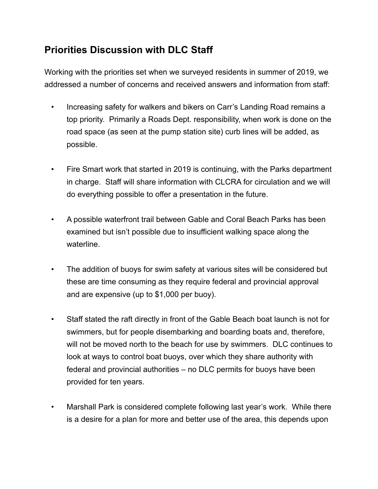## **Priorities Discussion with DLC Staff**

Working with the priorities set when we surveyed residents in summer of 2019, we addressed a number of concerns and received answers and information from staff:

- Increasing safety for walkers and bikers on Carr's Landing Road remains a top priority. Primarily a Roads Dept. responsibility, when work is done on the road space (as seen at the pump station site) curb lines will be added, as possible.
- Fire Smart work that started in 2019 is continuing, with the Parks department in charge. Staff will share information with CLCRA for circulation and we will do everything possible to offer a presentation in the future.
- A possible waterfront trail between Gable and Coral Beach Parks has been examined but isn't possible due to insufficient walking space along the waterline.
- The addition of buoys for swim safety at various sites will be considered but these are time consuming as they require federal and provincial approval and are expensive (up to \$1,000 per buoy).
- Staff stated the raft directly in front of the Gable Beach boat launch is not for swimmers, but for people disembarking and boarding boats and, therefore, will not be moved north to the beach for use by swimmers. DLC continues to look at ways to control boat buoys, over which they share authority with federal and provincial authorities – no DLC permits for buoys have been provided for ten years.
- Marshall Park is considered complete following last year's work. While there is a desire for a plan for more and better use of the area, this depends upon